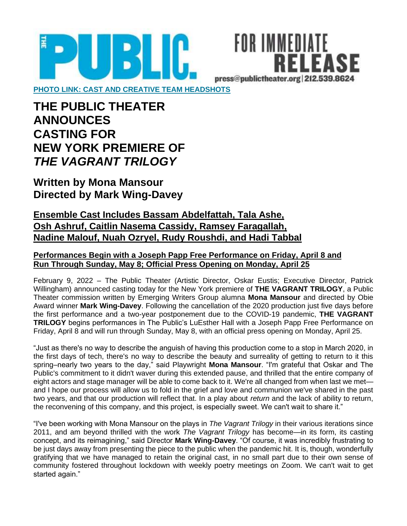

FOR IMMEDIATE FI FASF press@publictheater.org 212.539.8624

**[PHOTO LINK: CAST AND CREATIVE TEAM HEADSHOTS](https://www.dropbox.com/sh/ys9ju02llbhl4b8/AACIV8JK9CfOg-p9a7zN6-ANa?dl=0)**

**THE PUBLIC THEATER ANNOUNCES CASTING FOR NEW YORK PREMIERE OF** *THE VAGRANT TRILOGY*

**Written by Mona Mansour Directed by Mark Wing-Davey**

# **Ensemble Cast Includes Bassam Abdelfattah, Tala Ashe, Osh Ashruf, Caitlin Nasema Cassidy, Ramsey Faragallah, Nadine Malouf, Nuah Ozryel, Rudy Roushdi, and Hadi Tabbal**

## **Performances Begin with a Joseph Papp Free Performance on Friday, April 8 and Run Through Sunday, May 8; Official Press Opening on Monday, April 25**

February 9, 2022 – The Public Theater (Artistic Director, Oskar Eustis; Executive Director, Patrick Willingham) announced casting today for the New York premiere of **THE VAGRANT TRILOGY**, a Public Theater commission written by Emerging Writers Group alumna **Mona Mansour** and directed by Obie Award winner **Mark Wing-Davey**. Following the cancellation of the 2020 production just five days before the first performance and a two-year postponement due to the COVID-19 pandemic, **THE VAGRANT TRILOGY** begins performances in The Public's LuEsther Hall with a Joseph Papp Free Performance on Friday, April 8 and will run through Sunday, May 8, with an official press opening on Monday, April 25.

"Just as there's no way to describe the anguish of having this production come to a stop in March 2020, in the first days of tech, there's no way to describe the beauty and surreality of getting to return to it this spring–nearly two years to the day," said Playwright **Mona Mansour**. "I'm grateful that Oskar and The Public's commitment to it didn't waver during this extended pause, and thrilled that the entire company of eight actors and stage manager will be able to come back to it. We're all changed from when last we met and I hope our process will allow us to fold in the grief and love and communion we've shared in the past two years, and that our production will reflect that. In a play about *return* and the lack of ability to return, the reconvening of this company, and this project, is especially sweet. We can't wait to share it."

"I've been working with Mona Mansour on the plays in *The Vagrant Trilogy* in their various iterations since 2011, and am beyond thrilled with the work *The Vagrant Trilogy* has become—in its form, its casting concept, and its reimagining," said Director **Mark Wing-Davey**. "Of course, it was incredibly frustrating to be just days away from presenting the piece to the public when the pandemic hit. It is, though, wonderfully gratifying that we have managed to retain the original cast, in no small part due to their own sense of community fostered throughout lockdown with weekly poetry meetings on Zoom. We can't wait to get started again."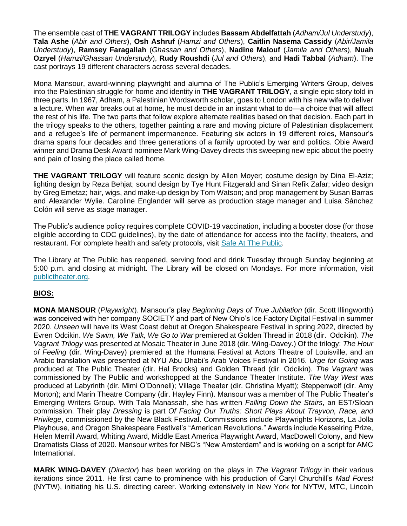The ensemble cast of **THE VAGRANT TRILOGY** includes **Bassam Abdelfattah** (*Adham/Jul Understudy*), **Tala Ashe** (*Abir and Others*), **Osh Ashruf** (*Hamzi and Others*), **Caitlin Nasema Cassidy** (*Abir/Jamila Understudy*), **Ramsey Faragallah** (*Ghassan and Others*), **Nadine Malouf** (*Jamila and Others*), **Nuah Ozryel** (*Hamzi/Ghassan Understudy*), **Rudy Roushdi** (*Jul and Others*), and **Hadi Tabbal** (*Adham*). The cast portrays 19 different characters across several decades.

Mona Mansour, award-winning playwright and alumna of The Public's Emerging Writers Group, delves into the Palestinian struggle for home and identity in **THE VAGRANT TRILOGY**, a single epic story told in three parts. In 1967, Adham, a Palestinian Wordsworth scholar, goes to London with his new wife to deliver a lecture. When war breaks out at home, he must decide in an instant what to do—a choice that will affect the rest of his life. The two parts that follow explore alternate realities based on that decision. Each part in the trilogy speaks to the others, together painting a rare and moving picture of Palestinian displacement and a refugee's life of permanent impermanence. Featuring six actors in 19 different roles, Mansour's drama spans four decades and three generations of a family uprooted by war and politics. Obie Award winner and Drama Desk Award nominee Mark Wing-Davey directs this sweeping new epic about the poetry and pain of losing the place called home.

**THE VAGRANT TRILOGY** will feature scenic design by Allen Moyer; costume design by Dina El-Aziz; lighting design by Reza Behjat; sound design by Tye Hunt Fitzgerald and Sinan Refik Zafar; video design by Greg Emetaz; hair, wigs, and make-up design by Tom Watson; and prop management by Susan Barras and Alexander Wylie. Caroline Englander will serve as production stage manager and Luisa Sánchez Colón will serve as stage manager.

The Public's audience policy requires complete COVID-19 vaccination, including a booster dose (for those eligible according to CDC guidelines), by the date of attendance for access into the facility, theaters, and restaurant. For complete health and safety protocols, visit [Safe At The Public.](http://thepublic.nyc/safeatthepublic)

The Library at The Public has reopened, serving food and drink Tuesday through Sunday beginning at 5:00 p.m. and closing at midnight. The Library will be closed on Mondays. For more information, visi[t](http://www.publictheater.org/) [publictheater.org.](http://www.publictheater.org/)

#### **BIOS:**

**MONA MANSOUR** (*Playwright*). Mansour's play *Beginning Days of True Jubilation* (dir. Scott Illingworth) was conceived with her company SOCIETY and part of New Ohio's Ice Factory Digital Festival in summer 2020. *Unseen* will have its West Coast debut at Oregon Shakespeare Festival in spring 2022, directed by Evren Odcikin. *We Swim, We Talk, We Go to War* premiered at Golden Thread in 2018 (dir. Odcikin). *The Vagrant Trilogy* was presented at Mosaic Theater in June 2018 (dir. Wing-Davey.) Of the trilogy: *The Hour of Feeling* (dir. Wing-Davey) premiered at the Humana Festival at Actors Theatre of Louisville, and an Arabic translation was presented at NYU Abu Dhabi's Arab Voices Festival in 2016. *Urge for Going* was produced at The Public Theater (dir. Hal Brooks) and Golden Thread (dir. Odcikin). *The Vagrant* was commissioned by The Public and workshopped at the Sundance Theater Institute. *The Way West* was produced at Labyrinth (dir. Mimi O'Donnell); Village Theater (dir. Christina Myatt); Steppenwolf (dir. Amy Morton); and Marin Theatre Company (dir. Hayley Finn). Mansour was a member of The Public Theater's Emerging Writers Group. With Tala Manassah, she has written *Falling Down the Stairs*, an EST/Sloan commission. Their play *Dressing* is part *Of Facing Our Truths: Short Plays About Trayvon, Race, and Privilege*, commissioned by the New Black Festival. Commissions include Playwrights Horizons, La Jolla Playhouse, and Oregon Shakespeare Festival's "American Revolutions." Awards include Kesselring Prize, Helen Merrill Award, Whiting Award, Middle East America Playwright Award, MacDowell Colony, and New Dramatists Class of 2020. Mansour writes for NBC's "New Amsterdam" and is working on a script for AMC International.

**MARK WING-DAVEY** (*Director*) has been working on the plays in *The Vagrant Trilogy* in their various iterations since 2011. He first came to prominence with his production of Caryl Churchill's *Mad Forest* (NYTW), initiating his U.S. directing career. Working extensively in New York for NYTW, MTC, Lincoln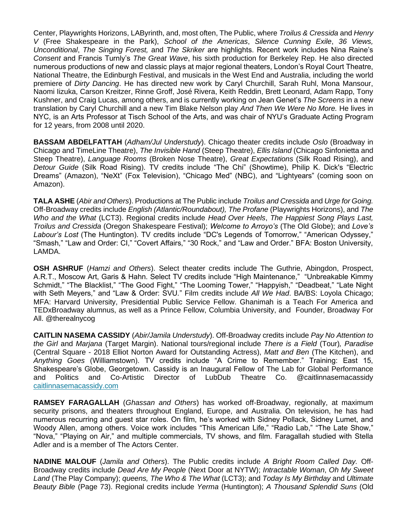Center, Playwrights Horizons, LAByrinth, and, most often, The Public, where *Troilus & Cressida* and *Henry V* (Free Shakespeare in the Park), *School of the Americas*, *Silence Cunning Exile*, *36 Views, Unconditional*, *The Singing Forest,* and *The Skriker* are highlights. Recent work includes Nina Raine's *Consent* and Francis Turnly's *The Great Wave*, his sixth production for Berkeley Rep. He also directed numerous productions of new and classic plays at major regional theaters, London's Royal Court Theatre, National Theatre, the Edinburgh Festival, and musicals in the West End and Australia, including the world premiere of *Dirty Dancing*. He has directed new work by Caryl Churchill, Sarah Ruhl, Mona Mansour, Naomi Iizuka, Carson Kreitzer, Rinne Groff, José Rivera, Keith Reddin, Brett Leonard, Adam Rapp, Tony Kushner, and Craig Lucas, among others, and is currently working on Jean Genet's *The Screens* in a new translation by Caryl Churchill and a new Tim Blake Nelson play *And Then We Were No More.* He lives in NYC, is an Arts Professor at Tisch School of the Arts, and was chair of NYU's Graduate Acting Program for 12 years, from 2008 until 2020.

**BASSAM ABDELFATTAH** (*Adham/Jul Understudy*). Chicago theater credits include *Oslo* (Broadway in Chicago and TimeLine Theatre), *The Invisible Hand* (Steep Theatre), *Ellis Island* (Chicago Sinfonietta and Steep Theatre), *Language Rooms* (Broken Nose Theatre), *Great Expectations* (Silk Road Rising), and *Detour Guide* (Silk Road Rising). TV credits include "The Chi" (Showtime), Philip K. Dick's "Electric Dreams" (Amazon), "NeXt" (Fox Television), "Chicago Med" (NBC), and "Lightyears" (coming soon on Amazon).

**TALA ASHE** (*Abir and Others*). Productions at The Public include *Troilus and Cressida* and *Urge for Going.* Off-Broadway credits include *English (Atlantic/Roundabout), The Profane* (Playwrights Horizons), and *The Who and the What* (LCT3). Regional credits include *Head Over Heels*, *The Happiest Song Plays Last, Troilus and Cressida* (Oregon Shakespeare Festival); *Welcome to Arroyo's* (The Old Globe); and *Love's Labour's Lost* (The Huntington). TV credits include "DC's Legends of Tomorrow," "American Odyssey," "Smash," "Law and Order: CI," "Covert Affairs," "30 Rock," and "Law and Order." BFA: Boston University, LAMDA.

**OSH ASHRUF** (*Hamzi and Others*). Select theater credits include The Guthrie, Abingdon, Prospect, A.R.T., Moscow Art, Garis & Hahn. Select TV credits include "High Maintenance," "Unbreakable Kimmy Schmidt," "The Blacklist," "The Good Fight," "The Looming Tower," "Happyish," "Deadbeat," "Late Night with Seth Meyers," and "Law & Order: SVU*.*" Film credits include *All We Had*. BA/BS: Loyola Chicago; MFA: Harvard University, Presidential Public Service Fellow. Ghanimah is a Teach For America and TEDxBroadway alumnus, as well as a Prince Fellow, Columbia University, and Founder, Broadway For All. @therealnycog

**CAITLIN NASEMA CASSIDY** (*Abir/Jamila Understudy*). Off-Broadway credits include *Pay No Attention to the Girl* and *Marjana* (Target Margin). National tours/regional include *There is a Field* (Tour)*, Paradise*  (Central Square - 2018 Elliot Norton Award for Outstanding Actress), *Matt and Ben* (The Kitchen), and *Anything Goes* (Williamstown). TV credits include "A Crime to Remember." Training: East 15, Shakespeare's Globe, Georgetown. Cassidy is an Inaugural Fellow of The Lab for Global Performance and Politics and Co-Artistic Director of LubDub Theatre Co. @caitlinnasemacassid[y](https://nam10.safelinks.protection.outlook.com/?url=http%3A%2F%2Fcaitlinnasemacassidy.com%2F&data=04%7C01%7C%7C05a2a16cd3e2447c673a08d9d549897d%7C819f3c4644b8404c8220f690820adca2%7C0%7C0%7C637775334106612411%7CUnknown%7CTWFpbGZsb3d8eyJWIjoiMC4wLjAwMDAiLCJQIjoiV2luMzIiLCJBTiI6Ik1haWwiLCJXVCI6Mn0%3D%7C3000&sdata=QVtWd3Yfyo2E33NO5GdN8nvx654SrvJIUT4uUeeq6vY%3D&reserved=0) [caitlinnasemacassidy.com](https://nam10.safelinks.protection.outlook.com/?url=http%3A%2F%2Fcaitlinnasemacassidy.com%2F&data=04%7C01%7C%7C05a2a16cd3e2447c673a08d9d549897d%7C819f3c4644b8404c8220f690820adca2%7C0%7C0%7C637775334106612411%7CUnknown%7CTWFpbGZsb3d8eyJWIjoiMC4wLjAwMDAiLCJQIjoiV2luMzIiLCJBTiI6Ik1haWwiLCJXVCI6Mn0%3D%7C3000&sdata=QVtWd3Yfyo2E33NO5GdN8nvx654SrvJIUT4uUeeq6vY%3D&reserved=0)

**RAMSEY FARAGALLAH** (*Ghassan and Others*) has worked off-Broadway, regionally, at maximum security prisons, and theaters throughout England, Europe, and Australia. On television, he has had numerous recurring and guest star roles. On film, he's worked with Sidney Pollack, Sidney Lumet, and Woody Allen, among others. Voice work includes "This American Life," "Radio Lab," "The Late Show," "Nova," "Playing on Air," and multiple commercials, TV shows, and film. Faragallah studied with Stella Adler and is a member of The Actors Center.

**NADINE MALOUF** (*Jamila and Others*). The Public credits include *A Bright Room Called Day.* Off-Broadway credits include *Dead Are My People* (Next Door at NYTW); *Intractable Woman*, *Oh My Sweet Land* (The Play Company); *queens, The Who & The What* (LCT3); and *Today Is My Birthday* and *Ultimate Beauty Bible* (Page 73). Regional credits include *Yerma* (Huntington); *A Thousand Splendid Suns* (Old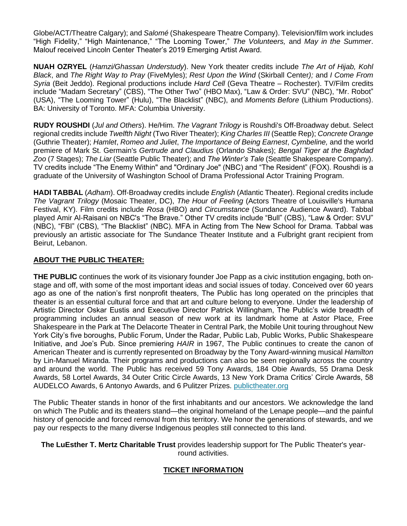Globe/ACT/Theatre Calgary); and *Salomé* (Shakespeare Theatre Company). Television/film work includes "High Fidelity," "High Maintenance," "The Looming Tower," *The Volunteers,* and *May in the Summer*. Malouf received Lincoln Center Theater's 2019 Emerging Artist Award.

**NUAH OZRYEL** (*Hamzi/Ghassan Understudy*). New York theater credits include *The Art of Hijab, Kohl Black*, and *The Right Way to Pray* (FiveMyles); *Rest Upon the Wind* (Skirball Center*);* and *I Come From Syria* (Beit Jeddo). Regional productions include *Hard Cell* (Geva Theatre – Rochester). TV/Film credits include "Madam Secretary" (CBS), "The Other Two" (HBO Max), "Law & Order: SVU" (NBC), "Mr. Robot" (USA), "The Looming Tower" (Hulu), "The Blacklist" (NBC), and *Moments Before* (Lithium Productions). BA: University of Toronto. MFA: Columbia University.

**RUDY ROUSHDI** (*Jul and Others*). He/Him. *The Vagrant Trilogy* is Roushdi's Off-Broadway debut. Select regional credits include *Twelfth Night* (Two River Theater); *King Charles III* (Seattle Rep); *Concrete Orange* (Guthrie Theater); *Hamlet*, *Romeo and Juliet*, *The Importance of Being Earnest*, *Cymbeline,* and the world premiere of Mark St. Germain's *Gertrude and Claudius* (Orlando Shakes); *Bengal Tiger at the Baghdad Zoo* (7 Stages); *The Liar* (Seattle Public Theater); and *The Winter's Tale* (Seattle Shakespeare Company). TV credits include "The Enemy Within" and "Ordinary Joe" (NBC) and "The Resident" (FOX). Roushdi is a graduate of the University of Washington School of Drama Professional Actor Training Program.

**HADI TABBAL** (*Adham*). Off-Broadway credits include *English* (Atlantic Theater). Regional credits include *The Vagrant Trilogy* (Mosaic Theater, DC), *The Hour of Feeling* (Actors Theatre of Louisville's Humana Festival, KY). Film credits include *Rosa* (HBO) and *Circumstance* (Sundance Audience Award). Tabbal played Amir Al-Raisani on NBC's "The Brave*.*" Other TV credits include "Bull" (CBS), "Law & Order: SVU" (NBC), "FBI" (CBS), "The Blacklist" (NBC). MFA in Acting from The New School for Drama. Tabbal was previously an artistic associate for The Sundance Theater Institute and a Fulbright grant recipient from Beirut, Lebanon.

#### **ABOUT THE PUBLIC THEATER:**

**THE PUBLIC** continues the work of its visionary founder Joe Papp as a civic institution engaging, both onstage and off, with some of the most important ideas and social issues of today. Conceived over 60 years ago as one of the nation's first nonprofit theaters, The Public has long operated on the principles that theater is an essential cultural force and that art and culture belong to everyone. Under the leadership of Artistic Director Oskar Eustis and Executive Director Patrick Willingham, The Public's wide breadth of programming includes an annual season of new work at its landmark home at Astor Place, Free Shakespeare in the Park at The Delacorte Theater in Central Park, the Mobile Unit touring throughout New York City's five boroughs, Public Forum, Under the Radar, Public Lab, Public Works, Public Shakespeare Initiative, and Joe's Pub. Since premiering *HAIR* in 1967, The Public continues to create the canon of American Theater and is currently represented on Broadway by the Tony Award-winning musical *Hamilton*  by Lin-Manuel Miranda. Their programs and productions can also be seen regionally across the country and around the world. The Public has received 59 Tony Awards, 184 Obie Awards, 55 Drama Desk Awards, 58 Lortel Awards, 34 Outer Critic Circle Awards, 13 New York Drama Critics' Circle Awards, 58 AUDELCO Awards, 6 Antonyo Awards, and 6 Pulitzer Prizes[.](http://publictheater.org/) [publictheater.org](http://publictheater.org/)

The Public Theater stands in honor of the first inhabitants and our ancestors. We acknowledge the land on which The Public and its theaters stand—the original homeland of the Lenape people—and the painful history of genocide and forced removal from this territory. We honor the generations of stewards, and we pay our respects to the many diverse Indigenous peoples still connected to this land.

**The LuEsther T. Mertz Charitable Trust** provides leadership support for The Public Theater's yearround activities.

### **TICKET INFORMATION**